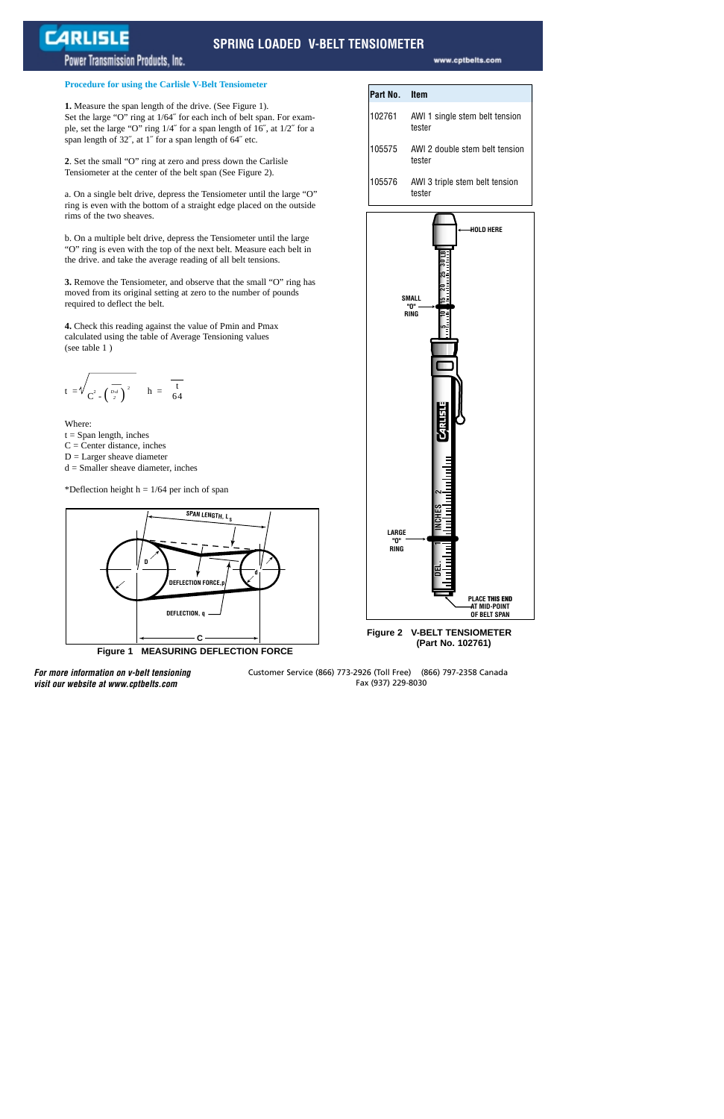## **SPRING LOADED V-BELT TENSIOMETER**

## Power Transmission Products, Inc.

**CARLISLE** 

#### **Procedure for using the Carlisle V-Belt Tensiometer**

**1.** Measure the span length of the drive. (See Figure 1). Set the large "O" ring at 1/64˝ for each inch of belt span. For example, set the large "O" ring 1/4˝ for a span length of 16˝, at 1/2˝ for a span length of 32˝, at 1˝ for a span length of 64˝ etc.

**2**. Set the small "O" ring at zero and press down the Carlisle Tensiometer at the center of the belt span (See Figure 2).

a. On a single belt drive, depress the Tensiometer until the large "O" ring is even with the bottom of a straight edge placed on the outside rims of the two sheaves.

b. On a multiple belt drive, depress the Tensiometer until the large "O" ring is even with the top of the next belt. Measure each belt in the drive. and take the average reading of all belt tensions.

**3.** Remove the Tensiometer, and observe that the small "O" ring has moved from its original setting at zero to the number of pounds required to deflect the belt.

**4.** Check this reading against the value of Pmin and Pmax calculated using the table of Average Tensioning values (see table 1 )

$$
t = \sqrt{\frac{1}{C^2 - \left(\frac{D-d}{2}\right)^2}} \quad h = \frac{1}{64}
$$

Where:

 $t =$  Span length, inches  $C =$  Center distance, inches  $D =$  Larger sheave diameter  $d =$ Smaller sheave diameter, inches

\*Deflection height  $h = 1/64$  per inch of span



**Figure 1 MEASURING DEFLECTION FORCE**

| Part No. | – Item                                   |
|----------|------------------------------------------|
| 102761   | AWI 1 single stem belt tension<br>tester |
| 105575   | AWI 2 double stem belt tension<br>tester |
| 105576   | AWI 3 triple stem belt tension<br>tester |



**Figure 2 V-BELT TENSIOMETER (Part No. 102761)**